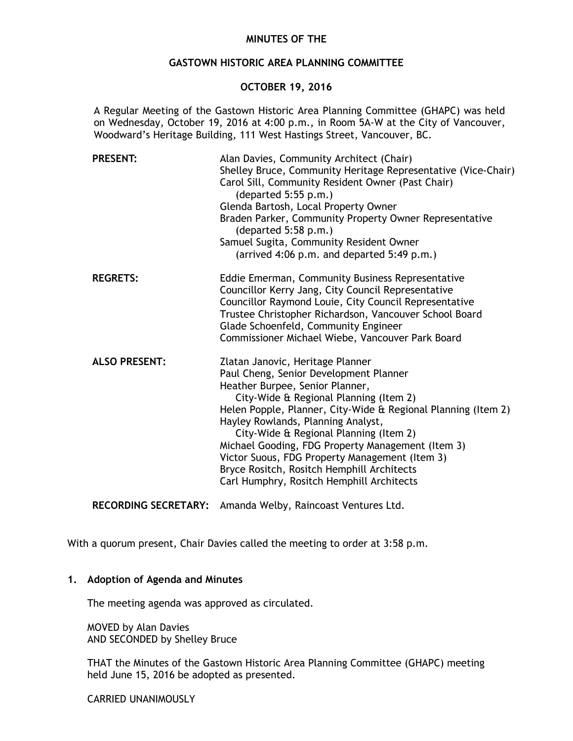# **MINUTES OF THE**

## **GASTOWN HISTORIC AREA PLANNING COMMITTEE**

## **OCTOBER 19, 2016**

A Regular Meeting of the Gastown Historic Area Planning Committee (GHAPC) was held on Wednesday, October 19, 2016 at 4:00 p.m., in Room 5A-W at the City of Vancouver, Woodward's Heritage Building, 111 West Hastings Street, Vancouver, BC.

| <b>PRESENT:</b>      | Alan Davies, Community Architect (Chair)<br>Shelley Bruce, Community Heritage Representative (Vice-Chair)<br>Carol Sill, Community Resident Owner (Past Chair)<br>(departed 5:55 p.m.)<br>Glenda Bartosh, Local Property Owner<br>Braden Parker, Community Property Owner Representative<br>(departed 5:58 p.m.)<br>Samuel Sugita, Community Resident Owner<br>(arrived 4:06 p.m. and departed 5:49 p.m.)                                                                                                  |
|----------------------|------------------------------------------------------------------------------------------------------------------------------------------------------------------------------------------------------------------------------------------------------------------------------------------------------------------------------------------------------------------------------------------------------------------------------------------------------------------------------------------------------------|
| <b>REGRETS:</b>      | Eddie Emerman, Community Business Representative<br>Councillor Kerry Jang, City Council Representative<br>Councillor Raymond Louie, City Council Representative<br>Trustee Christopher Richardson, Vancouver School Board<br>Glade Schoenfeld, Community Engineer<br>Commissioner Michael Wiebe, Vancouver Park Board                                                                                                                                                                                      |
| <b>ALSO PRESENT:</b> | Zlatan Janovic, Heritage Planner<br>Paul Cheng, Senior Development Planner<br>Heather Burpee, Senior Planner,<br>City-Wide & Regional Planning (Item 2)<br>Helen Popple, Planner, City-Wide & Regional Planning (Item 2)<br>Hayley Rowlands, Planning Analyst,<br>City-Wide & Regional Planning (Item 2)<br>Michael Gooding, FDG Property Management (Item 3)<br>Victor Suous, FDG Property Management (Item 3)<br>Bryce Rositch, Rositch Hemphill Architects<br>Carl Humphry, Rositch Hemphill Architects |

**RECORDING SECRETARY:** Amanda Welby, Raincoast Ventures Ltd.

With a quorum present, Chair Davies called the meeting to order at 3:58 p.m.

## **1. Adoption of Agenda and Minutes**

The meeting agenda was approved as circulated.

MOVED by Alan Davies AND SECONDED by Shelley Bruce

THAT the Minutes of the Gastown Historic Area Planning Committee (GHAPC) meeting held June 15, 2016 be adopted as presented.

CARRIED UNANIMOUSLY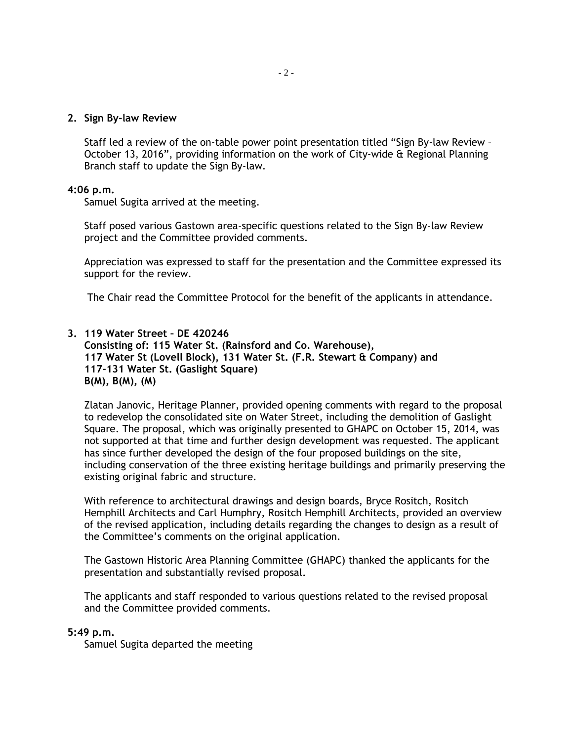### **2. Sign By-law Review**

Staff led a review of the on-table power point presentation titled "Sign By-law Review – October 13, 2016", providing information on the work of City-wide & Regional Planning Branch staff to update the Sign By-law.

### **4:06 p.m.**

Samuel Sugita arrived at the meeting.

Staff posed various Gastown area-specific questions related to the Sign By-law Review project and the Committee provided comments.

Appreciation was expressed to staff for the presentation and the Committee expressed its support for the review.

The Chair read the Committee Protocol for the benefit of the applicants in attendance.

# **3. 119 Water Street – DE 420246**

**Consisting of: 115 Water St. (Rainsford and Co. Warehouse), 117 Water St (Lovell Block), 131 Water St. (F.R. Stewart & Company) and 117-131 Water St. (Gaslight Square) B(M), B(M), (M)**

Zlatan Janovic, Heritage Planner, provided opening comments with regard to the proposal to redevelop the consolidated site on Water Street, including the demolition of Gaslight Square. The proposal, which was originally presented to GHAPC on October 15, 2014, was not supported at that time and further design development was requested. The applicant has since further developed the design of the four proposed buildings on the site, including conservation of the three existing heritage buildings and primarily preserving the existing original fabric and structure.

With reference to architectural drawings and design boards, Bryce Rositch, Rositch Hemphill Architects and Carl Humphry, Rositch Hemphill Architects, provided an overview of the revised application, including details regarding the changes to design as a result of the Committee's comments on the original application.

The Gastown Historic Area Planning Committee (GHAPC) thanked the applicants for the presentation and substantially revised proposal.

The applicants and staff responded to various questions related to the revised proposal and the Committee provided comments.

#### **5:49 p.m.**

Samuel Sugita departed the meeting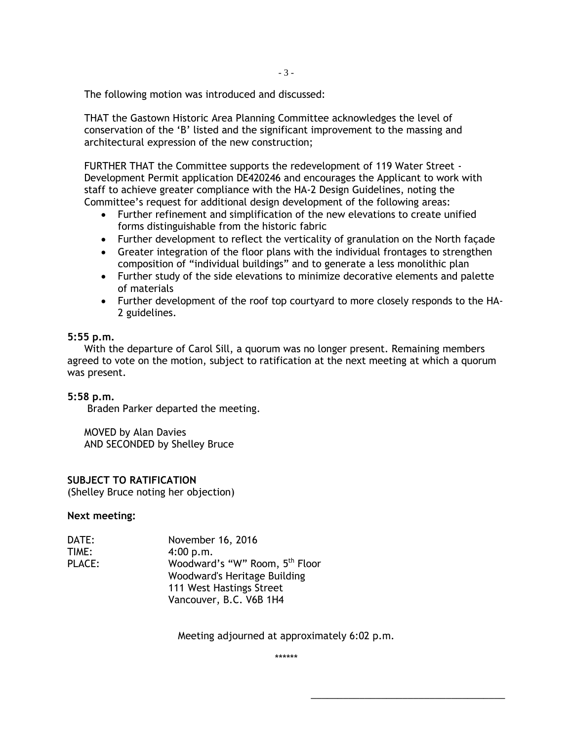The following motion was introduced and discussed:

THAT the Gastown Historic Area Planning Committee acknowledges the level of conservation of the 'B' listed and the significant improvement to the massing and architectural expression of the new construction;

FURTHER THAT the Committee supports the redevelopment of 119 Water Street - Development Permit application DE420246 and encourages the Applicant to work with staff to achieve greater compliance with the HA-2 Design Guidelines, noting the Committee's request for additional design development of the following areas:

- Further refinement and simplification of the new elevations to create unified forms distinguishable from the historic fabric
- Further development to reflect the verticality of granulation on the North façade
- Greater integration of the floor plans with the individual frontages to strengthen composition of "individual buildings" and to generate a less monolithic plan
- Further study of the side elevations to minimize decorative elements and palette of materials
- Further development of the roof top courtyard to more closely responds to the HA-2 guidelines.

# **5:55 p.m.**

With the departure of Carol Sill, a quorum was no longer present. Remaining members agreed to vote on the motion, subject to ratification at the next meeting at which a quorum was present.

# **5:58 p.m.**

Braden Parker departed the meeting.

MOVED by Alan Davies AND SECONDED by Shelley Bruce

# **SUBJECT TO RATIFICATION**

(Shelley Bruce noting her objection)

#### **Next meeting:**

| DATE:         | November 16, 2016                          |
|---------------|--------------------------------------------|
| TIME:         | 4:00 p.m.                                  |
| <b>PLACE:</b> | Woodward's "W" Room, 5 <sup>th</sup> Floor |
|               | Woodward's Heritage Building               |
|               | 111 West Hastings Street                   |
|               | Vancouver, B.C. V6B 1H4                    |

Meeting adjourned at approximately 6:02 p.m.

\*\*\*\*\*\*

\_\_\_\_\_\_\_\_\_\_\_\_\_\_\_\_\_\_\_\_\_\_\_\_\_\_\_\_\_\_\_\_\_\_\_\_